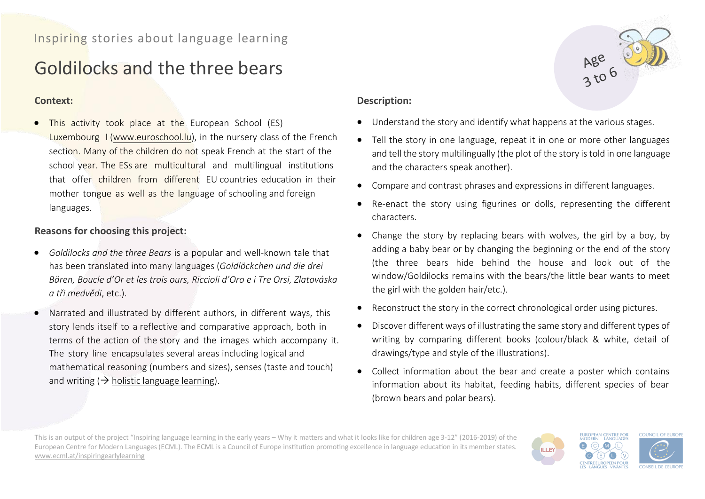# Goldilocks and the three bears

#### **Context:**

• This activity took place at the European School (ES) Luxembourg I [\(www.euroschool.lu\)](http://www.euroschool.lu/), in the nursery class of the French section. Many of the children do not speak French at the start of the school year. The ESs are multicultural and multilingual institutions that offer children from different EU countries education in their mother tongue as well as the language of schooling and foreign languages.

# **Reasons for choosing this project:**

- *Goldilocks and the three Bears* is a popular and well-known tale that has been translated into many languages (*Goldlöckchen und die drei Bären, Boucle d'Or et les trois ours, Riccioli d'Oro e i Tre Orsi, Zlatováska a tři medvědi*, etc.).
- Narrated and illustrated by different authors, in different ways, this story lends itself to a reflective and comparative approach, both in terms of the action of the story and the images which accompany it. The story line encapsulates several areas including logical and mathematical reasoning (numbers and sizes), senses (taste and touch) and writing  $(\rightarrow)$  holistic language learning).

## **Description:**

- Understand the story and identify what happens at the various stages.
- Tell the story in one language, repeat it in one or more other languages and tell the story multilingually (the plot of the story is told in one language and the characters speak another).
- Compare and contrast phrases and expressions in different languages.
- Re-enact the story using figurines or dolls, representing the different characters.
- Change the story by replacing bears with wolves, the girl by a boy, by adding a baby bear or by changing the beginning or the end of the story (the three bears hide behind the house and look out of the window/Goldilocks remains with the bears/the little bear wants to meet the girl with the golden hair/etc.).
- Reconstruct the story in the correct chronological order using pictures.
- Discover different ways of illustrating the same story and different types of writing by comparing different books (colour/black & white, detail of drawings/type and style of the illustrations).
- Collect information about the bear and create a poster which contains information about its habitat, feeding habits, different species of bear (brown bears and polar bears).

This is an output of the project "Inspiring language learning in the early years – Why it matters and what it looks like for children age 3-12" (2016-2019) of the European Centre for Modern Languages (ECML). The ECML is a Council of Europe institution promoting excellence in language education in its member states. [www.ecml.at/inspiringearlylearning](http://www.ecml.at/inspiringearlylearning)